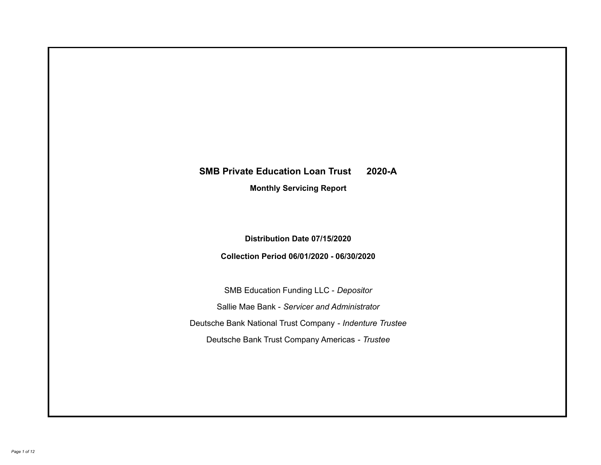# **SMB Private Education Loan Trust 2020-A Monthly Servicing Report**

## **Distribution Date 07/15/2020**

## **Collection Period 06/01/2020 - 06/30/2020**

SMB Education Funding LLC - *Depositor* Sallie Mae Bank - *Servicer and Administrator* Deutsche Bank National Trust Company - *Indenture Trustee* Deutsche Bank Trust Company Americas - *Trustee*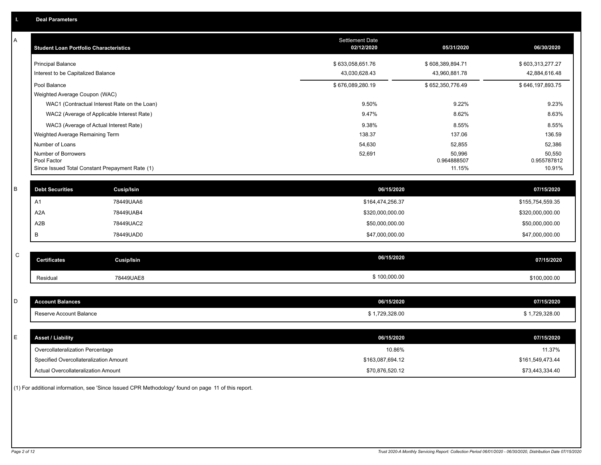| A           | <b>Student Loan Portfolio Characteristics</b>                  |                                              | <b>Settlement Date</b><br>02/12/2020 | 05/31/2020            | 06/30/2020            |
|-------------|----------------------------------------------------------------|----------------------------------------------|--------------------------------------|-----------------------|-----------------------|
|             | <b>Principal Balance</b>                                       |                                              | \$633,058,651.76                     | \$608,389,894.71      | \$603,313,277.27      |
|             | Interest to be Capitalized Balance                             |                                              | 43,030,628.43                        | 43,960,881.78         | 42,884,616.48         |
|             | Pool Balance                                                   |                                              | \$676,089,280.19                     | \$652,350,776.49      | \$646,197,893.75      |
|             | Weighted Average Coupon (WAC)                                  |                                              |                                      |                       |                       |
|             |                                                                | WAC1 (Contractual Interest Rate on the Loan) | 9.50%                                | 9.22%                 | 9.23%                 |
|             | WAC2 (Average of Applicable Interest Rate)                     |                                              | 9.47%                                | 8.62%                 | 8.63%                 |
|             | WAC3 (Average of Actual Interest Rate)                         |                                              | 9.38%                                | 8.55%                 | 8.55%                 |
|             | Weighted Average Remaining Term                                |                                              | 138.37                               | 137.06                | 136.59                |
|             | Number of Loans                                                |                                              | 54,630                               | 52,855                | 52,386                |
|             | Number of Borrowers                                            |                                              | 52,691                               | 50,996                | 50,550                |
|             | Pool Factor<br>Since Issued Total Constant Prepayment Rate (1) |                                              |                                      | 0.964888507<br>11.15% | 0.955787812<br>10.91% |
|             |                                                                |                                              |                                      |                       |                       |
| $\sf B$     | <b>Debt Securities</b>                                         | <b>Cusip/Isin</b>                            | 06/15/2020                           |                       | 07/15/2020            |
|             | A1                                                             | 78449UAA6                                    | \$164,474,256.37                     |                       | \$155,754,559.35      |
|             | A <sub>2</sub> A                                               | 78449UAB4                                    | \$320,000,000.00                     |                       | \$320,000,000.00      |
|             | A2B                                                            | 78449UAC2                                    | \$50,000,000.00                      |                       | \$50,000,000.00       |
|             | В                                                              | 78449UAD0                                    | \$47,000,000.00                      |                       | \$47,000,000.00       |
|             |                                                                |                                              |                                      |                       |                       |
| $\mathsf C$ | <b>Certificates</b>                                            | Cusip/Isin                                   | 06/15/2020                           |                       | 07/15/2020            |
|             | Residual                                                       | 78449UAE8                                    | \$100,000.00                         |                       | \$100,000.00          |
|             |                                                                |                                              |                                      |                       |                       |
| D           | <b>Account Balances</b>                                        |                                              | 06/15/2020                           |                       | 07/15/2020            |
|             | Reserve Account Balance                                        |                                              | \$1,729,328.00                       |                       | \$1,729,328.00        |
|             |                                                                |                                              |                                      |                       |                       |
| Ε           | <b>Asset / Liability</b>                                       |                                              | 06/15/2020                           |                       | 07/15/2020            |
|             | Overcollateralization Percentage                               |                                              | 10.86%                               |                       | 11.37%                |
|             | Specified Overcollateralization Amount                         |                                              | \$163,087,694.12                     |                       | \$161,549,473.44      |
|             | Actual Overcollateralization Amount                            |                                              | \$70,876,520.12                      |                       | \$73,443,334.40       |

(1) For additional information, see 'Since Issued CPR Methodology' found on page 11 of this report.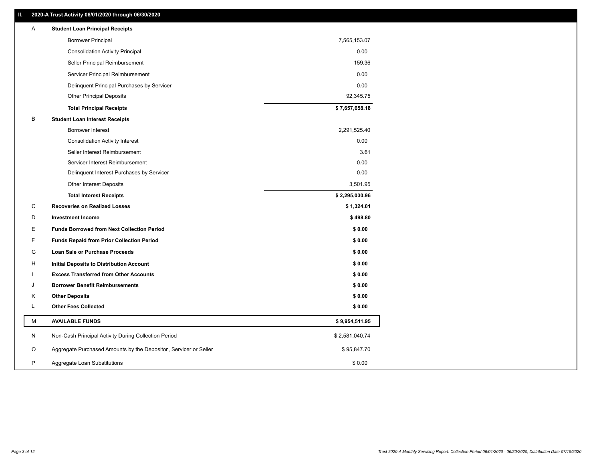## **II. 2020-A Trust Activity 06/01/2020 through 06/30/2020**

| Α | <b>Student Loan Principal Receipts</b>                           |                |
|---|------------------------------------------------------------------|----------------|
|   | <b>Borrower Principal</b>                                        | 7,565,153.07   |
|   | <b>Consolidation Activity Principal</b>                          | 0.00           |
|   | Seller Principal Reimbursement                                   | 159.36         |
|   | Servicer Principal Reimbursement                                 | 0.00           |
|   | Delinquent Principal Purchases by Servicer                       | 0.00           |
|   | <b>Other Principal Deposits</b>                                  | 92,345.75      |
|   | <b>Total Principal Receipts</b>                                  | \$7,657,658.18 |
| B | <b>Student Loan Interest Receipts</b>                            |                |
|   | Borrower Interest                                                | 2,291,525.40   |
|   | <b>Consolidation Activity Interest</b>                           | 0.00           |
|   | Seller Interest Reimbursement                                    | 3.61           |
|   | Servicer Interest Reimbursement                                  | 0.00           |
|   | Delinquent Interest Purchases by Servicer                        | 0.00           |
|   | Other Interest Deposits                                          | 3,501.95       |
|   | <b>Total Interest Receipts</b>                                   | \$2,295,030.96 |
| C | <b>Recoveries on Realized Losses</b>                             | \$1,324.01     |
| D | <b>Investment Income</b>                                         | \$498.80       |
| Е | <b>Funds Borrowed from Next Collection Period</b>                | \$0.00         |
| F | <b>Funds Repaid from Prior Collection Period</b>                 | \$0.00         |
| G | Loan Sale or Purchase Proceeds                                   | \$0.00         |
| H | Initial Deposits to Distribution Account                         | \$0.00         |
|   | <b>Excess Transferred from Other Accounts</b>                    | \$0.00         |
| J | <b>Borrower Benefit Reimbursements</b>                           | \$0.00         |
| Κ | <b>Other Deposits</b>                                            | \$0.00         |
| L | <b>Other Fees Collected</b>                                      | \$0.00         |
| M | <b>AVAILABLE FUNDS</b>                                           | \$9,954,511.95 |
| N | Non-Cash Principal Activity During Collection Period             | \$2,581,040.74 |
| O | Aggregate Purchased Amounts by the Depositor, Servicer or Seller | \$95,847.70    |
| P | Aggregate Loan Substitutions                                     | \$0.00         |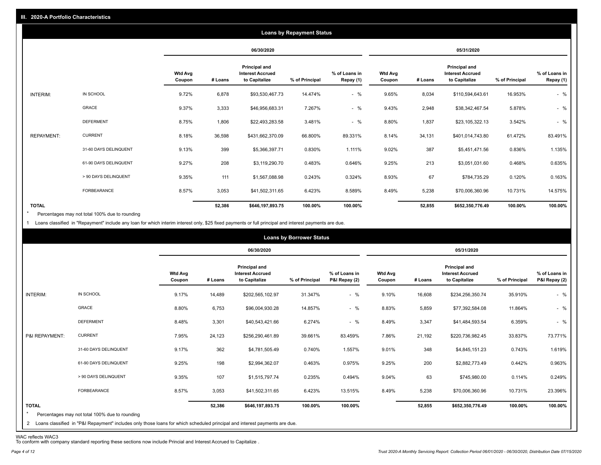|                   |                       |                          |         |                                                           | <b>Loans by Repayment Status</b> |                            |                          |         |                                                           |                |                            |
|-------------------|-----------------------|--------------------------|---------|-----------------------------------------------------------|----------------------------------|----------------------------|--------------------------|---------|-----------------------------------------------------------|----------------|----------------------------|
|                   |                       |                          |         | 06/30/2020                                                |                                  |                            |                          |         | 05/31/2020                                                |                |                            |
|                   |                       | <b>Wtd Avg</b><br>Coupon | # Loans | Principal and<br><b>Interest Accrued</b><br>to Capitalize | % of Principal                   | % of Loans in<br>Repay (1) | <b>Wtd Avg</b><br>Coupon | # Loans | Principal and<br><b>Interest Accrued</b><br>to Capitalize | % of Principal | % of Loans in<br>Repay (1) |
| INTERIM:          | IN SCHOOL             | 9.72%                    | 6,878   | \$93,530,467.73                                           | 14.474%                          | $-$ %                      | 9.65%                    | 8,034   | \$110,594,643.61                                          | 16.953%        | $-$ %                      |
|                   | GRACE                 | 9.37%                    | 3,333   | \$46,956,683.31                                           | 7.267%                           | $-$ %                      | 9.43%                    | 2,948   | \$38,342,467.54                                           | 5.878%         | $-$ %                      |
|                   | <b>DEFERMENT</b>      | 8.75%                    | 1,806   | \$22,493,283.58                                           | 3.481%                           | $-$ %                      | 8.80%                    | 1,837   | \$23,105,322.13                                           | 3.542%         | $-$ %                      |
| <b>REPAYMENT:</b> | <b>CURRENT</b>        | 8.18%                    | 36,598  | \$431,662,370.09                                          | 66.800%                          | 89.331%                    | 8.14%                    | 34,131  | \$401,014,743.80                                          | 61.472%        | 83.491%                    |
|                   | 31-60 DAYS DELINQUENT | 9.13%                    | 399     | \$5,366,397.71                                            | 0.830%                           | 1.111%                     | 9.02%                    | 387     | \$5,451,471.56                                            | 0.836%         | 1.135%                     |
|                   | 61-90 DAYS DELINQUENT | 9.27%                    | 208     | \$3,119,290.70                                            | 0.483%                           | 0.646%                     | 9.25%                    | 213     | \$3,051,031.60                                            | 0.468%         | 0.635%                     |
|                   | > 90 DAYS DELINQUENT  | 9.35%                    | 111     | \$1,567,088.98                                            | 0.243%                           | 0.324%                     | 8.93%                    | 67      | \$784,735.29                                              | 0.120%         | 0.163%                     |
|                   | FORBEARANCE           | 8.57%                    | 3,053   | \$41,502,311.65                                           | 6.423%                           | 8.589%                     | 8.49%                    | 5,238   | \$70,006,360.96                                           | 10.731%        | 14.575%                    |
| <b>TOTAL</b>      |                       |                          | 52,386  | \$646,197,893.75                                          | 100.00%                          | 100.00%                    |                          | 52,855  | \$652,350,776.49                                          | 100.00%        | 100.00%                    |

Percentages may not total 100% due to rounding \*

1 Loans classified in "Repayment" include any loan for which interim interest only, \$25 fixed payments or full principal and interest payments are due.

|                         |                                                                                                                              |                          |         |                                                           | <b>Loans by Borrower Status</b> |                                |                          |         |                                                                  |                |                                |
|-------------------------|------------------------------------------------------------------------------------------------------------------------------|--------------------------|---------|-----------------------------------------------------------|---------------------------------|--------------------------------|--------------------------|---------|------------------------------------------------------------------|----------------|--------------------------------|
|                         |                                                                                                                              |                          |         | 06/30/2020                                                |                                 |                                |                          |         | 05/31/2020                                                       |                |                                |
|                         |                                                                                                                              | <b>Wtd Avg</b><br>Coupon | # Loans | Principal and<br><b>Interest Accrued</b><br>to Capitalize | % of Principal                  | % of Loans in<br>P&I Repay (2) | <b>Wtd Avg</b><br>Coupon | # Loans | <b>Principal and</b><br><b>Interest Accrued</b><br>to Capitalize | % of Principal | % of Loans in<br>P&I Repay (2) |
| INTERIM:                | IN SCHOOL                                                                                                                    | 9.17%                    | 14,489  | \$202,565,102.97                                          | 31.347%                         | $-$ %                          | 9.10%                    | 16,608  | \$234,256,350.74                                                 | 35.910%        | $-$ %                          |
|                         | GRACE                                                                                                                        | 8.80%                    | 6,753   | \$96,004,930.28                                           | 14.857%                         | $-$ %                          | 8.83%                    | 5,859   | \$77,392,584.08                                                  | 11.864%        | $-$ %                          |
|                         | <b>DEFERMENT</b>                                                                                                             | 8.48%                    | 3,301   | \$40,543,421.66                                           | 6.274%                          | $-$ %                          | 8.49%                    | 3,347   | \$41,484,593.54                                                  | 6.359%         | $-$ %                          |
| P&I REPAYMENT:          | <b>CURRENT</b>                                                                                                               | 7.95%                    | 24,123  | \$256,290,461.89                                          | 39.661%                         | 83.459%                        | 7.86%                    | 21,192  | \$220,736,982.45                                                 | 33.837%        | 73.771%                        |
|                         | 31-60 DAYS DELINQUENT                                                                                                        | 9.17%                    | 362     | \$4,781,505.49                                            | 0.740%                          | 1.557%                         | 9.01%                    | 348     | \$4,845,151.23                                                   | 0.743%         | 1.619%                         |
|                         | 61-90 DAYS DELINQUENT                                                                                                        | 9.25%                    | 198     | \$2,994,362.07                                            | 0.463%                          | 0.975%                         | 9.25%                    | 200     | \$2,882,773.49                                                   | 0.442%         | 0.963%                         |
|                         | > 90 DAYS DELINQUENT                                                                                                         | 9.35%                    | 107     | \$1,515,797.74                                            | 0.235%                          | 0.494%                         | 9.04%                    | 63      | \$745,980.00                                                     | 0.114%         | 0.249%                         |
|                         | FORBEARANCE                                                                                                                  | 8.57%                    | 3,053   | \$41,502,311.65                                           | 6.423%                          | 13.515%                        | 8.49%                    | 5,238   | \$70,006,360.96                                                  | 10.731%        | 23.396%                        |
| <b>TOTAL</b><br>$\star$ | Percentages may not total 100% due to rounding                                                                               |                          | 52,386  | \$646,197,893.75                                          | 100.00%                         | 100.00%                        |                          | 52,855  | \$652,350,776.49                                                 | 100.00%        | 100.00%                        |
|                         | 2 Loans classified in "P&I Repayment" includes only those loans for which scheduled principal and interest payments are due. |                          |         |                                                           |                                 |                                |                          |         |                                                                  |                |                                |

WAC reflects WAC3 To conform with company standard reporting these sections now include Princial and Interest Accrued to Capitalize .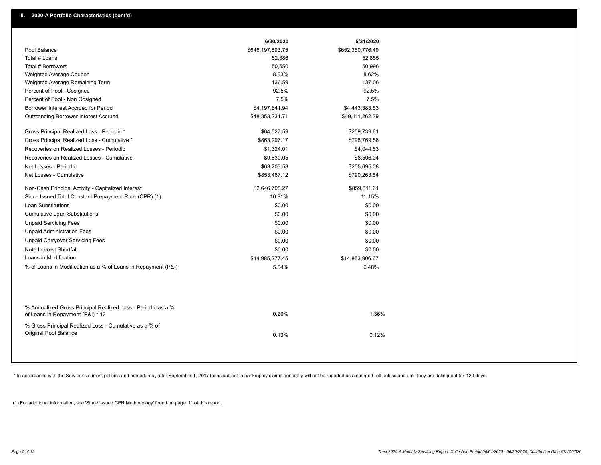|                                                                                                  | 6/30/2020        | 5/31/2020        |
|--------------------------------------------------------------------------------------------------|------------------|------------------|
| Pool Balance                                                                                     | \$646,197,893.75 | \$652,350,776.49 |
| Total # Loans                                                                                    | 52,386           | 52,855           |
| Total # Borrowers                                                                                | 50,550           | 50,996           |
| Weighted Average Coupon                                                                          | 8.63%            | 8.62%            |
| Weighted Average Remaining Term                                                                  | 136.59           | 137.06           |
| Percent of Pool - Cosigned                                                                       | 92.5%            | 92.5%            |
| Percent of Pool - Non Cosigned                                                                   | 7.5%             | 7.5%             |
| Borrower Interest Accrued for Period                                                             | \$4,197,641.94   | \$4,443,383.53   |
| Outstanding Borrower Interest Accrued                                                            | \$48,353,231.71  | \$49,111,262.39  |
| Gross Principal Realized Loss - Periodic *                                                       | \$64,527.59      | \$259,739.61     |
| Gross Principal Realized Loss - Cumulative *                                                     | \$863,297.17     | \$798,769.58     |
| Recoveries on Realized Losses - Periodic                                                         | \$1,324.01       | \$4,044.53       |
| Recoveries on Realized Losses - Cumulative                                                       | \$9,830.05       | \$8,506.04       |
| Net Losses - Periodic                                                                            | \$63,203.58      | \$255,695.08     |
| Net Losses - Cumulative                                                                          | \$853,467.12     | \$790,263.54     |
| Non-Cash Principal Activity - Capitalized Interest                                               | \$2,646,708.27   | \$859,811.61     |
| Since Issued Total Constant Prepayment Rate (CPR) (1)                                            | 10.91%           | 11.15%           |
| <b>Loan Substitutions</b>                                                                        | \$0.00           | \$0.00           |
| <b>Cumulative Loan Substitutions</b>                                                             | \$0.00           | \$0.00           |
| <b>Unpaid Servicing Fees</b>                                                                     | \$0.00           | \$0.00           |
| <b>Unpaid Administration Fees</b>                                                                | \$0.00           | \$0.00           |
| <b>Unpaid Carryover Servicing Fees</b>                                                           | \$0.00           | \$0.00           |
| Note Interest Shortfall                                                                          | \$0.00           | \$0.00           |
| Loans in Modification                                                                            | \$14,985,277.45  | \$14,853,906.67  |
| % of Loans in Modification as a % of Loans in Repayment (P&I)                                    | 5.64%            | 6.48%            |
|                                                                                                  |                  |                  |
| % Annualized Gross Principal Realized Loss - Periodic as a %<br>of Loans in Repayment (P&I) * 12 | 0.29%            | 1.36%            |
| % Gross Principal Realized Loss - Cumulative as a % of                                           |                  |                  |
| Original Pool Balance                                                                            | 0.13%            | 0.12%            |
|                                                                                                  |                  |                  |

\* In accordance with the Servicer's current policies and procedures, after September 1, 2017 loans subject to bankruptcy claims generally will not be reported as a charged- off unless and until they are delinquent for 120

(1) For additional information, see 'Since Issued CPR Methodology' found on page 11 of this report.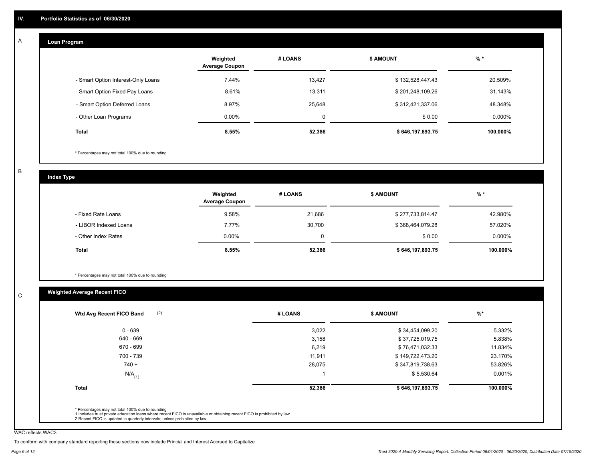#### **Loan Program**  A

|                                    | Weighted<br><b>Average Coupon</b> | # LOANS | <b>\$ AMOUNT</b> | $%$ *    |
|------------------------------------|-----------------------------------|---------|------------------|----------|
| - Smart Option Interest-Only Loans | 7.44%                             | 13.427  | \$132,528,447.43 | 20.509%  |
| - Smart Option Fixed Pay Loans     | 8.61%                             | 13,311  | \$201,248,109.26 | 31.143%  |
| - Smart Option Deferred Loans      | 8.97%                             | 25.648  | \$312,421,337.06 | 48.348%  |
| - Other Loan Programs              | $0.00\%$                          | 0       | \$0.00           | 0.000%   |
| <b>Total</b>                       | 8.55%                             | 52,386  | \$646,197,893.75 | 100.000% |

\* Percentages may not total 100% due to rounding

B

C

**Index Type**

|                       | Weighted<br><b>Average Coupon</b> | # LOANS | <b>\$ AMOUNT</b> | $%$ *     |
|-----------------------|-----------------------------------|---------|------------------|-----------|
| - Fixed Rate Loans    | 9.58%                             | 21,686  | \$277,733,814.47 | 42.980%   |
| - LIBOR Indexed Loans | 7.77%                             | 30.700  | \$368,464,079.28 | 57.020%   |
| - Other Index Rates   | $0.00\%$                          |         | \$0.00           | $0.000\%$ |
| Total                 | 8.55%                             | 52,386  | \$646,197,893.75 | 100.000%  |

\* Percentages may not total 100% due to rounding

## **Weighted Average Recent FICO**

|                      | # LOANS | <b>S AMOUNT</b>  | $%$ *    |
|----------------------|---------|------------------|----------|
| $0 - 639$            | 3,022   | \$34,454,099.20  | 5.332%   |
| 640 - 669            | 3,158   | \$37,725,019.75  | 5.838%   |
| 670 - 699            | 6,219   | \$76,471,032.33  | 11.834%  |
| 700 - 739            | 11,911  | \$149,722,473.20 | 23.170%  |
| $740 +$              | 28,075  | \$347,819,738.63 | 53.826%  |
| $N/A$ <sub>(1)</sub> |         | \$5,530.64       | 0.001%   |
| <b>Total</b>         | 52,386  | \$646,197,893.75 | 100.000% |

WAC reflects WAC3

To conform with company standard reporting these sections now include Princial and Interest Accrued to Capitalize .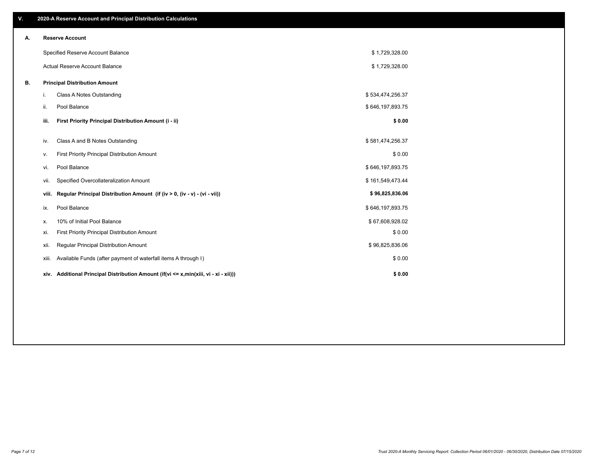| V. |       | 2020-A Reserve Account and Principal Distribution Calculations                       |                  |  |
|----|-------|--------------------------------------------------------------------------------------|------------------|--|
| Α. |       | <b>Reserve Account</b>                                                               |                  |  |
|    |       | Specified Reserve Account Balance                                                    | \$1,729,328.00   |  |
|    |       | Actual Reserve Account Balance                                                       | \$1,729,328.00   |  |
| В. |       | <b>Principal Distribution Amount</b>                                                 |                  |  |
|    | i.    | Class A Notes Outstanding                                                            | \$534,474,256.37 |  |
|    | ii.   | Pool Balance                                                                         | \$646,197,893.75 |  |
|    | iii.  | First Priority Principal Distribution Amount (i - ii)                                | \$0.00           |  |
|    | iv.   | Class A and B Notes Outstanding                                                      | \$581,474,256.37 |  |
|    | v.    | First Priority Principal Distribution Amount                                         | \$0.00           |  |
|    | vi.   | Pool Balance                                                                         | \$646,197,893.75 |  |
|    | vii.  | Specified Overcollateralization Amount                                               | \$161,549,473.44 |  |
|    | viii. | Regular Principal Distribution Amount (if (iv > 0, (iv - v) - (vi - vii))            | \$96,825,836.06  |  |
|    | ix.   | Pool Balance                                                                         | \$646,197,893.75 |  |
|    | х.    | 10% of Initial Pool Balance                                                          | \$67,608,928.02  |  |
|    | xi.   | First Priority Principal Distribution Amount                                         | \$0.00           |  |
|    | xii.  | Regular Principal Distribution Amount                                                | \$96,825,836.06  |  |
|    | xiii. | Available Funds (after payment of waterfall items A through I)                       | \$0.00           |  |
|    |       | xiv. Additional Principal Distribution Amount (if(vi <= x,min(xiii, vi - xi - xii))) | \$0.00           |  |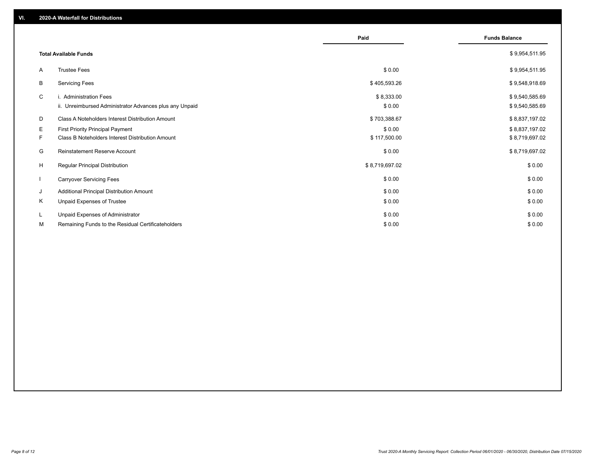|              |                                                                                   | Paid                 | <b>Funds Balance</b>             |
|--------------|-----------------------------------------------------------------------------------|----------------------|----------------------------------|
|              | <b>Total Available Funds</b>                                                      |                      | \$9,954,511.95                   |
| A            | <b>Trustee Fees</b>                                                               | \$0.00               | \$9,954,511.95                   |
| В            | <b>Servicing Fees</b>                                                             | \$405,593.26         | \$9,548,918.69                   |
| C            | i. Administration Fees<br>ii. Unreimbursed Administrator Advances plus any Unpaid | \$8,333.00<br>\$0.00 | \$9,540,585.69<br>\$9,540,585.69 |
| D            | Class A Noteholders Interest Distribution Amount                                  | \$703,388.67         | \$8,837,197.02                   |
| E.           | <b>First Priority Principal Payment</b>                                           | \$0.00               | \$8,837,197.02                   |
| F.           | Class B Noteholders Interest Distribution Amount                                  | \$117,500.00         | \$8,719,697.02                   |
| G            | <b>Reinstatement Reserve Account</b>                                              | \$0.00               | \$8,719,697.02                   |
| H            | <b>Regular Principal Distribution</b>                                             | \$8,719,697.02       | \$0.00                           |
| $\mathbf{I}$ | <b>Carryover Servicing Fees</b>                                                   | \$0.00               | \$0.00                           |
| J            | Additional Principal Distribution Amount                                          | \$0.00               | \$0.00                           |
| Κ            | Unpaid Expenses of Trustee                                                        | \$0.00               | \$0.00                           |
| L            | Unpaid Expenses of Administrator                                                  | \$0.00               | \$0.00                           |
| М            | Remaining Funds to the Residual Certificateholders                                | \$0.00               | \$0.00                           |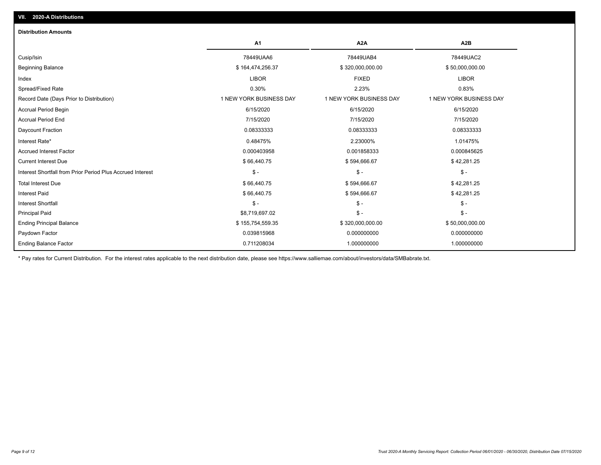| <b>Distribution Amounts</b>                                |                         |                         |                         |
|------------------------------------------------------------|-------------------------|-------------------------|-------------------------|
|                                                            | A1                      | A <sub>2</sub> A        | A <sub>2</sub> B        |
| Cusip/Isin                                                 | 78449UAA6               | 78449UAB4               | 78449UAC2               |
| <b>Beginning Balance</b>                                   | \$164,474,256.37        | \$320,000,000.00        | \$50,000,000.00         |
| Index                                                      | <b>LIBOR</b>            | <b>FIXED</b>            | <b>LIBOR</b>            |
| Spread/Fixed Rate                                          | 0.30%                   | 2.23%                   | 0.83%                   |
| Record Date (Days Prior to Distribution)                   | 1 NEW YORK BUSINESS DAY | 1 NEW YORK BUSINESS DAY | 1 NEW YORK BUSINESS DAY |
| <b>Accrual Period Begin</b>                                | 6/15/2020               | 6/15/2020               | 6/15/2020               |
| <b>Accrual Period End</b>                                  | 7/15/2020               | 7/15/2020               | 7/15/2020               |
| Daycount Fraction                                          | 0.08333333              | 0.08333333              | 0.08333333              |
| Interest Rate*                                             | 0.48475%                | 2.23000%                | 1.01475%                |
| <b>Accrued Interest Factor</b>                             | 0.000403958             | 0.001858333             | 0.000845625             |
| <b>Current Interest Due</b>                                | \$66,440.75             | \$594,666.67            | \$42,281.25             |
| Interest Shortfall from Prior Period Plus Accrued Interest | $\mathsf{\$}$ -         | $\mathcal{S}$ -         | $\mathsf{\$}$ -         |
| <b>Total Interest Due</b>                                  | \$66,440.75             | \$594,666.67            | \$42,281.25             |
| <b>Interest Paid</b>                                       | \$66,440.75             | \$594,666.67            | \$42,281.25             |
| Interest Shortfall                                         | $\mathsf{\$}$ -         | $$ -$                   | $\mathsf{\$}$ -         |
| <b>Principal Paid</b>                                      | \$8,719,697.02          | $$ -$                   | $\mathsf{\$}$ -         |
| <b>Ending Principal Balance</b>                            | \$155,754,559.35        | \$320,000,000.00        | \$50,000,000.00         |
| Paydown Factor                                             | 0.039815968             | 0.000000000             | 0.000000000             |
| <b>Ending Balance Factor</b>                               | 0.711208034             | 1.000000000             | 1.000000000             |

\* Pay rates for Current Distribution. For the interest rates applicable to the next distribution date, please see https://www.salliemae.com/about/investors/data/SMBabrate.txt.

**VII. 2020-A Distributions**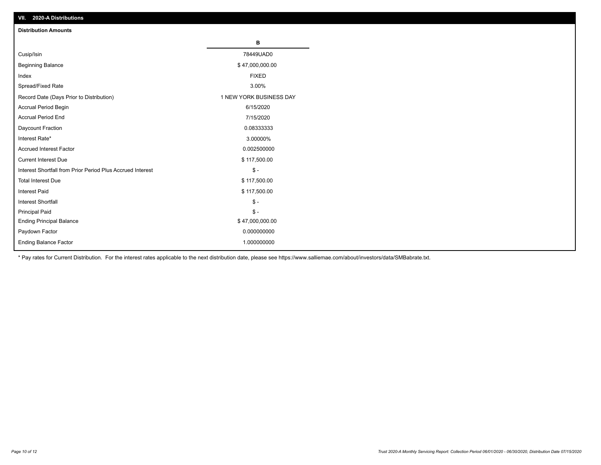| VII. 2020-A Distributions                                  |                         |
|------------------------------------------------------------|-------------------------|
| <b>Distribution Amounts</b>                                |                         |
|                                                            | В                       |
| Cusip/Isin                                                 | 78449UAD0               |
| <b>Beginning Balance</b>                                   | \$47,000,000.00         |
| Index                                                      | <b>FIXED</b>            |
| Spread/Fixed Rate                                          | 3.00%                   |
| Record Date (Days Prior to Distribution)                   | 1 NEW YORK BUSINESS DAY |
| Accrual Period Begin                                       | 6/15/2020               |
| <b>Accrual Period End</b>                                  | 7/15/2020               |
| Daycount Fraction                                          | 0.08333333              |
| Interest Rate*                                             | 3.00000%                |
| <b>Accrued Interest Factor</b>                             | 0.002500000             |
| <b>Current Interest Due</b>                                | \$117,500.00            |
| Interest Shortfall from Prior Period Plus Accrued Interest | $\mathcal{S}$ -         |
| <b>Total Interest Due</b>                                  | \$117,500.00            |
| <b>Interest Paid</b>                                       | \$117,500.00            |
| Interest Shortfall                                         | $\mathbb{S}$ -          |
| <b>Principal Paid</b>                                      | $$ -$                   |
| <b>Ending Principal Balance</b>                            | \$47,000,000.00         |
| Paydown Factor                                             | 0.000000000             |
| <b>Ending Balance Factor</b>                               | 1.000000000             |

\* Pay rates for Current Distribution. For the interest rates applicable to the next distribution date, please see https://www.salliemae.com/about/investors/data/SMBabrate.txt.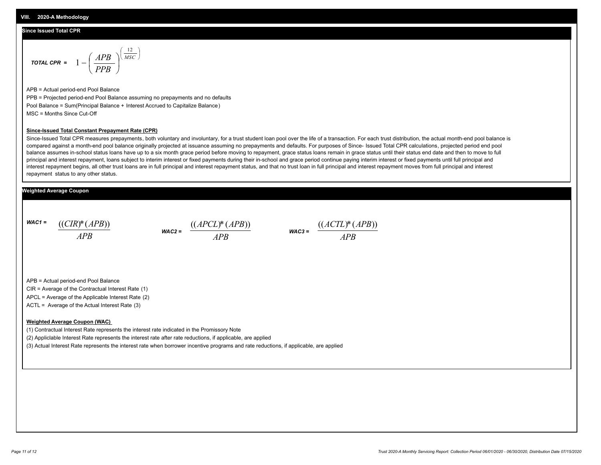## **Since Issued Total CPR**

$$
\text{total CPR} = 1 - \left(\frac{APB}{PPB}\right)^{\left(\frac{12}{MSC}\right)}
$$

APB = Actual period-end Pool Balance PPB = Projected period-end Pool Balance assuming no prepayments and no defaults Pool Balance = Sum(Principal Balance + Interest Accrued to Capitalize Balance) MSC = Months Since Cut-Off

#### **Since-Issued Total Constant Prepayment Rate (CPR)**

Since-Issued Total CPR measures prepayments, both voluntary and involuntary, for a trust student loan pool over the life of a transaction. For each trust distribution, the actual month-end pool balance is compared against a month-end pool balance originally projected at issuance assuming no prepayments and defaults. For purposes of Since- Issued Total CPR calculations, projected period end pool balance assumes in-school status loans have up to a six month grace period before moving to repayment, grace status loans remain in grace status until their status end date and then to move to full principal and interest repayment, loans subject to interim interest or fixed payments during their in-school and grace period continue paying interim interest or fixed payments until full principal and interest repayment begins, all other trust loans are in full principal and interest repayment status, and that no trust loan in full principal and interest repayment moves from full principal and interest repayment status to any other status.

## **Weighted Average Coupon**

*WAC1 = APB* ((*CIR*)\*(*APB*))

*WAC2 = APB*  $\frac{((APCL)^{*}(APB))}{APB}$  wac<sub>3</sub> =  $\frac{((ACTL)^{*}(A)P}{APB}$ 



APB = Actual period-end Pool Balance

CIR = Average of the Contractual Interest Rate (1)

APCL = Average of the Applicable Interest Rate (2)

ACTL = Average of the Actual Interest Rate (3)

### **Weighted Average Coupon (WAC)**

(1) Contractual Interest Rate represents the interest rate indicated in the Promissory Note

(2) Appliclable Interest Rate represents the interest rate after rate reductions, if applicable, are applied

(3) Actual Interest Rate represents the interest rate when borrower incentive programs and rate reductions, if applicable, are applied